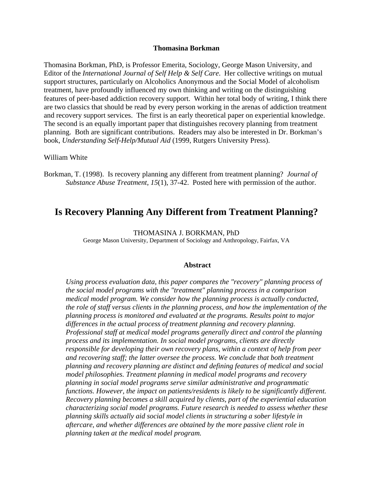#### **Thomasina Borkman**

Thomasina Borkman, PhD, is Professor Emerita, Sociology, George Mason University, and Editor of the *International Journal of Self Help & Self Care*. Her collective writings on mutual support structures, particularly on Alcoholics Anonymous and the Social Model of alcoholism treatment, have profoundly influenced my own thinking and writing on the distinguishing features of peer-based addiction recovery support. Within her total body of writing, I think there are two classics that should be read by every person working in the arenas of addiction treatment and recovery support services. The first is an early theoretical paper on experiential knowledge. The second is an equally important paper that distinguishes recovery planning from treatment planning. Both are significant contributions. Readers may also be interested in Dr. Borkman's book, *Understanding Self-Help/Mutual Aid* (1999, Rutgers University Press).

## William White

Borkman, T. (1998). Is recovery planning any different from treatment planning? *Journal of Substance Abuse Treatment*, *15*(1), 37-42. Posted here with permission of the author.

# **Is Recovery Planning Any Different from Treatment Planning?**

THOMASINA J. BORKMAN, PhD

George Mason University, Department of Sociology and Anthropology, Fairfax, VA

## **Abstract**

*Using process evaluation data, this paper compares the "recovery" planning process of the social model programs with the "treatment" planning process in a comparison medical model program. We consider how the planning process is actually conducted, the role of staff versus clients in the planning process, and how the implementation of the planning process is monitored and evaluated at the programs. Results point to major differences in the actual process of treatment planning and recovery planning. Professional staff at medical model programs generally direct and control the planning process and its implementation. In social model programs, clients are directly responsible for developing their own recovery plans, within a context of help from peer and recovering staff; the latter oversee the process. We conclude that both treatment planning and recovery planning are distinct and defining features of medical and social model philosophies. Treatment planning in medical model programs and recovery planning in social model programs serve similar administrative and programmatic functions. However, the impact on patients/residents is likely to be significantly different. Recovery planning becomes a skill acquired by clients, part of the experiential education characterizing social model programs. Future research is needed to assess whether these planning skills actually aid social model clients in structuring a sober lifestyle in aftercare, and whether differences are obtained by the more passive client role in planning taken at the medical model program.*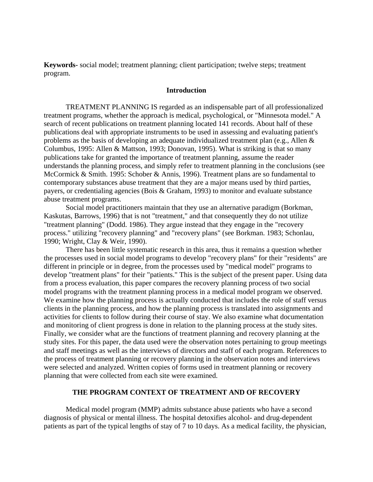**Keywords-** social model; treatment planning; client participation; twelve steps; treatment program.

## **Introduction**

 TREATMENT PLANNING IS regarded as an indispensable part of all professionalized treatment programs, whether the approach is medical, psychological, or "Minnesota model." A search of recent publications on treatment planning located 141 records. About half of these publications deal with appropriate instruments to be used in assessing and evaluating patient's problems as the basis of developing an adequate individualized treatment plan (e.g., Allen & Columbus, 1995: Allen & Mattson, 1993; Donovan, 1995). What is striking is that so many publications take for granted the importance of treatment planning, assume the reader understands the planning process, and simply refer to treatment planning in the conclusions (see McCormick & Smith. 1995: Schober & Annis, 1996). Treatment plans are so fundamental to contemporary substances abuse treatment that they are a major means used by third parties, payers, or credentialing agencies (Bois & Graham, 1993) to monitor and evaluate substance abuse treatment programs.

Social model practitioners maintain that they use an alternative paradigm (Borkman, Kaskutas, Barrows, 1996) that is not "treatment," and that consequently they do not utilize "treatment planning" (Dodd. 1986). They argue instead that they engage in the "recovery process." utilizing "recovery planning" and "recovery plans" (see Borkman. 1983; Schonlau, 1990; Wright, Clay & Weir, 1990).

There has been little systematic research in this area, thus it remains a question whether the processes used in social model programs to develop "recovery plans" for their "residents" are different in principle or in degree, from the processes used by "medical model" programs to develop "treatment plans" for their "patients." This is the subject of the present paper. Using data from a process evaluation, this paper compares the recovery planning process of two social model programs with the treatment planning process in a medical model program we observed. We examine how the planning process is actually conducted that includes the role of staff versus clients in the planning process, and how the planning process is translated into assignments and activities for clients to follow during their course of stay. We also examine what documentation and monitoring of client progress is done in relation to the planning process at the study sites. Finally, we consider what are the functions of treatment planning and recovery planning at the study sites. For this paper, the data used were the observation notes pertaining to group meetings and staff meetings as well as the interviews of directors and staff of each program. References to the process of treatment planning or recovery planning in the observation notes and interviews were selected and analyzed. Written copies of forms used in treatment planning or recovery planning that were collected from each site were examined.

## **THE PROGRAM CONTEXT OF TREATMENT AND OF RECOVERY**

 Medical model program (MMP) admits substance abuse patients who have a second diagnosis of physical or mental illness. The hospital detoxifies alcohol- and drug-dependent patients as part of the typical lengths of stay of 7 to 10 days. As a medical facility, the physician,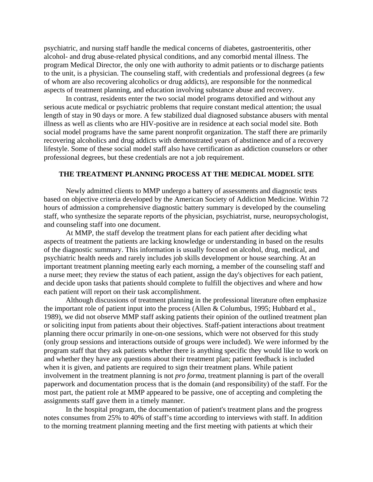psychiatric, and nursing staff handle the medical concerns of diabetes, gastroenteritis, other alcohol- and drug abuse-related physical conditions, and any comorbid mental illness. The program Medical Director, the only one with authority to admit patients or to discharge patients to the unit, is a physician. The counseling staff, with credentials and professional degrees (a few of whom are also recovering alcoholics or drug addicts), are responsible for the nonmedical aspects of treatment planning, and education involving substance abuse and recovery.

In contrast, residents enter the two social model programs detoxified and without any serious acute medical or psychiatric problems that require constant medical attention; the usual length of stay in 90 days or more. A few stabilized dual diagnosed substance abusers with mental illness as well as clients who are HIV-positive are in residence at each social model site. Both social model programs have the same parent nonprofit organization. The staff there are primarily recovering alcoholics and drug addicts with demonstrated years of abstinence and of a recovery lifestyle. Some of these social model staff also have certification as addiction counselors or other professional degrees, but these credentials are not a job requirement.

# **THE TREATMENT PLANNING PROCESS AT THE MEDICAL MODEL SITE**

 Newly admitted clients to MMP undergo a battery of assessments and diagnostic tests based on objective criteria developed by the American Society of Addiction Medicine. Within 72 hours of admission a comprehensive diagnostic battery summary is developed by the counseling staff, who synthesize the separate reports of the physician, psychiatrist, nurse, neuropsychologist, and counseling staff into one document.

At MMP, the staff develop the treatment plans for each patient after deciding what aspects of treatment the patients are lacking knowledge or understanding in based on the results of the diagnostic summary. This information is usually focused on alcohol, drug, medical, and psychiatric health needs and rarely includes job skills development or house searching. At an important treatment planning meeting early each morning, a member of the counseling staff and a nurse meet; they review the status of each patient, assign the day's objectives for each patient, and decide upon tasks that patients should complete to fulfill the objectives and where and how each patient will report on their task accomplishment.

Although discussions of treatment planning in the professional literature often emphasize the important role of patient input into the process (Allen & Columbus, 1995; Hubbard et al., 1989), we did not observe MMP staff asking patients their opinion of the outlined treatment plan or soliciting input from patients about their objectives. Staff-patient interactions about treatment planning there occur primarily in one-on-one sessions, which were not observed for this study (only group sessions and interactions outside of groups were included). We were informed by the program staff that they ask patients whether there is anything specific they would like to work on and whether they have any questions about their treatment plan; patient feedback is included when it is given, and patients are required to sign their treatment plans. While patient involvement in the treatment planning is not *pro forma,* treatment planning is part of the overall paperwork and documentation process that is the domain (and responsibility) of the staff. For the most part, the patient role at MMP appeared to be passive, one of accepting and completing the assignments staff gave them in a timely manner.

In the hospital program, the documentation of patient's treatment plans and the progress notes consumes from 25% to 40% of staff's time according to interviews with staff. In addition to the morning treatment planning meeting and the first meeting with patients at which their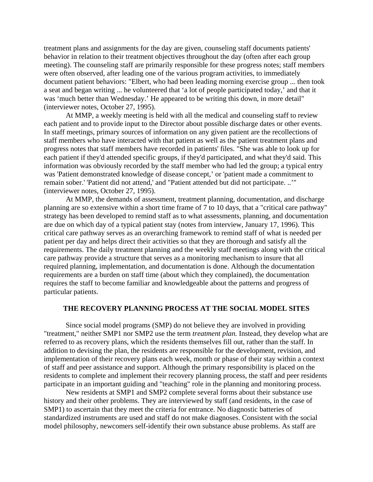treatment plans and assignments for the day are given, counseling staff documents patients' behavior in relation to their treatment objectives throughout the day (often after each group meeting). The counseling staff are primarily responsible for these progress notes; staff members were often observed, after leading one of the various program activities, to immediately document patient behaviors: "Elbert, who had been leading morning exercise group ... then took a seat and began writing ... he volunteered that 'a lot of people participated today,' and that it was 'much better than Wednesday.' He appeared to be writing this down, in more detail" (interviewer notes, October 27, 1995).

At MMP, a weekly meeting is held with all the medical and counseling staff to review each patient and to provide input to the Director about possible discharge dates or other events. In staff meetings, primary sources of information on any given patient are the recollections of staff members who have interacted with that patient as well as the patient treatment plans and progress notes that staff members have recorded in patients' files. "She was able to look up for each patient if they'd attended specific groups, if they'd participated, and what they'd said. This information was obviously recorded by the staff member who had led the group; a typical entry was 'Patient demonstrated knowledge of disease concept,' or 'patient made a commitment to remain sober.' 'Patient did not attend,' and "Patient attended but did not participate. ..'" (interviewer notes, October 27, 1995).

At MMP, the demands of assessment, treatment planning, documentation, and discharge planning are so extensive within a short time frame of 7 to 10 days, that a "critical care pathway" strategy has been developed to remind staff as to what assessments, planning, and documentation are due on which day of a typical patient stay (notes from interview, January 17, 1996). This critical care pathway serves as an overarching framework to remind staff of what is needed per patient per day and helps direct their activities so that they are thorough and satisfy all the requirements. The daily treatment planning and the weekly staff meetings along with the critical care pathway provide a structure that serves as a monitoring mechanism to insure that all required planning, implementation, and documentation is done. Although the documentation requirements are a burden on staff time (about which they complained), the documentation requires the staff to become familiar and knowledgeable about the patterns and progress of particular patients.

## **THE RECOVERY PLANNING PROCESS AT THE SOCIAL MODEL SITES**

 Since social model programs (SMP) do not believe they are involved in providing "treatment," neither SMP1 nor SMP2 use the term *treatment plan.* Instead, they develop what are referred to as recovery plans, which the residents themselves fill out, rather than the staff. In addition to devising the plan, the residents are responsible for the development, revision, and implementation of their recovery plans each week, month or phase of their stay within a context of staff and peer assistance and support. Although the primary responsibility is placed on the residents to complete and implement their recovery planning process, the staff and peer residents participate in an important guiding and "teaching" role in the planning and monitoring process.

New residents at SMP1 and SMP2 complete several forms about their substance use history and their other problems. They are interviewed by staff (and residents, in the case of SMP1) to ascertain that they meet the criteria for entrance. No diagnostic batteries of standardized instruments are used and staff do not make diagnoses. Consistent with the social model philosophy, newcomers self-identify their own substance abuse problems. As staff are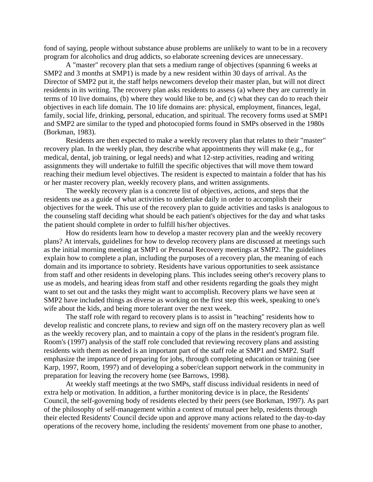fond of saying, people without substance abuse problems are unlikely to want to be in a recovery program for alcoholics and drug addicts, so elaborate screening devices are unnecessary.

A "master" recovery plan that sets a medium range of objectives (spanning 6 weeks at SMP2 and 3 months at SMP1) is made by a new resident within 30 days of arrival. As the Director of SMP2 put it, the staff helps newcomers develop their master plan, but will not direct residents in its writing. The recovery plan asks residents to assess (a) where they are currently in terms of 10 live domains, (b) where they would like to be, and (c) what they can do to reach their objectives in each life domain. The 10 life domains are: physical, employment, finances, legal, family, social life, drinking, personal, education, and spiritual. The recovery forms used at SMP1 and SMP2 are similar to the typed and photocopied forms found in SMPs observed in the 1980s (Borkman, 1983).

Residents are then expected to make a weekly recovery plan that relates to their "master" recovery plan. In the weekly plan, they describe what appointments they will make (e.g., for medical, dental, job training, or legal needs) and what 12-step activities, reading and writing assignments they will undertake to fulfill the specific objectives that will move them toward reaching their medium level objectives. The resident is expected to maintain a folder that has his or her master recovery plan, weekly recovery plans, and written assignments.

The weekly recovery plan is a concrete list of objectives, actions, and steps that the residents use as a guide of what activities to undertake daily in order to accomplish their objectives for the week. This use of the recovery plan to guide activities and tasks is analogous to the counseling staff deciding what should be each patient's objectives for the day and what tasks the patient should complete in order to fulfill his/her objectives.

How do residents learn how to develop a master recovery plan and the weekly recovery plans? At intervals, guidelines for how to develop recovery plans are discussed at meetings such as the initial morning meeting at SMP1 or Personal Recovery meetings at SMP2. The guidelines explain how to complete a plan, including the purposes of a recovery plan, the meaning of each domain and its importance to sobriety. Residents have various opportunities to seek assistance from staff and other residents in developing plans. This includes seeing other's recovery plans to use as models, and hearing ideas from staff and other residents regarding the goals they might want to set out and the tasks they might want to accomplish. Recovery plans we have seen at SMP2 have included things as diverse as working on the first step this week, speaking to one's wife about the kids, and being more tolerant over the next week.

 The staff role with regard to recovery plans is to assist in "teaching" residents how to develop realistic and concrete plans, to review and sign off on the mastery recovery plan as well as the weekly recovery plan, and to maintain a copy of the plans in the resident's program file. Room's (1997) analysis of the staff role concluded that reviewing recovery plans and assisting residents with them as needed is an important part of the staff role at SMP1 and SMP2. Staff emphasize the importance of preparing for jobs, through completing education or training (see Karp, 1997, Room, 1997) and of developing a sober/clean support network in the community in preparation for leaving the recovery home (see Barrows, 1998).

 At weekly staff meetings at the two SMPs, staff discuss individual residents in need of extra help or motivation. In addition, a further monitoring device is in place, the Residents' Council, the self-governing body of residents elected by their peers (see Borkman, 1997). As part of the philosophy of self-management within a context of mutual peer help, residents through their elected Residents' Council decide upon and approve many actions related to the day-to-day operations of the recovery home, including the residents' movement from one phase to another,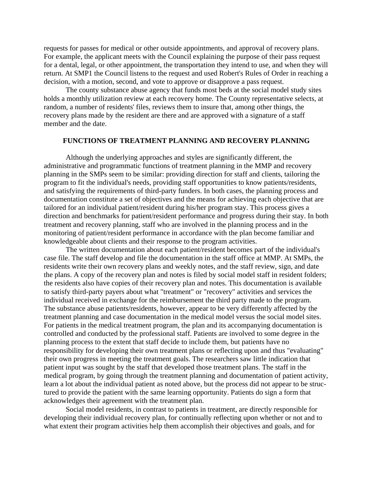requests for passes for medical or other outside appointments, and approval of recovery plans. For example, the applicant meets with the Council explaining the purpose of their pass request for a dental, legal, or other appointment, the transportation they intend to use, and when they will return. At SMP1 the Council listens to the request and used Robert's Rules of Order in reaching a decision, with a motion, second, and vote to approve or disapprove a pass request.

 The county substance abuse agency that funds most beds at the social model study sites holds a monthly utilization review at each recovery home. The County representative selects, at random, a number of residents' files, reviews them to insure that, among other things, the recovery plans made by the resident are there and are approved with a signature of a staff member and the date.

# **FUNCTIONS OF TREATMENT PLANNING AND RECOVERY PLANNING**

 Although the underlying approaches and styles are significantly different, the administrative and programmatic functions of treatment planning in the MMP and recovery planning in the SMPs seem to be similar: providing direction for staff and clients, tailoring the program to fit the individual's needs, providing staff opportunities to know patients/residents, and satisfying the requirements of third-party funders. In both cases, the planning process and documentation constitute a set of objectives and the means for achieving each objective that are tailored for an individual patient/resident during his/her program stay. This process gives a direction and benchmarks for patient/resident performance and progress during their stay. In both treatment and recovery planning, staff who are involved in the planning process and in the monitoring of patient/resident performance in accordance with the plan become familiar and knowledgeable about clients and their response to the program activities.

 The written documentation about each patient/resident becomes part of the individual's case file. The staff develop and file the documentation in the staff office at MMP. At SMPs, the residents write their own recovery plans and weekly notes, and the staff review, sign, and date the plans. A copy of the recovery plan and notes is filed by social model staff in resident folders; the residents also have copies of their recovery plan and notes. This documentation is available to satisfy third-party payers about what "treatment" or "recovery" activities and services the individual received in exchange for the reimbursement the third party made to the program. The substance abuse patients/residents, however, appear to be very differently affected by the treatment planning and case documentation in the medical model versus the social model sites. For patients in the medical treatment program, the plan and its accompanying documentation is controlled and conducted by the professional staff. Patients are involved to some degree in the planning process to the extent that staff decide to include them, but patients have no responsibility for developing their own treatment plans or reflecting upon and thus "evaluating" their own progress in meeting the treatment goals. The researchers saw little indication that patient input was sought by the staff that developed those treatment plans. The staff in the medical program, by going through the treatment planning and documentation of patient activity, learn a lot about the individual patient as noted above, but the process did not appear to be structured to provide the patient with the same learning opportunity. Patients do sign a form that acknowledges their agreement with the treatment plan.

 Social model residents, in contrast to patients in treatment, are directly responsible for developing their individual recovery plan, for continually reflecting upon whether or not and to what extent their program activities help them accomplish their objectives and goals, and for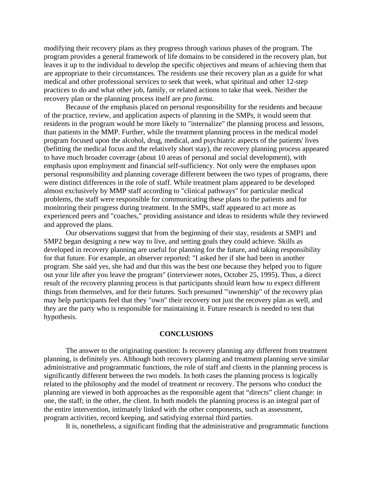modifying their recovery plans as they progress through various phases of the program. The program provides a general framework of life domains to be considered in the recovery plan, but leaves it up to the individual to develop the specific objectives and means of achieving them that are appropriate to their circumstances. The residents use their recovery plan as a guide for what medical and other professional services to seek that week, what spiritual and other 12-step practices to do and what other job, family, or related actions to take that week. Neither the recovery plan or the planning process itself are *pro forma.* 

Because of the emphasis placed on personal responsibility for the residents and because of the practice, review, and application aspects of planning in the SMPs, it would seem that residents in the program would be more likely to "internalize" the planning process and lessons, than patients in the MMP. Further, while the treatment planning process in the medical model program focused upon the alcohol, drug, medical, and psychiatric aspects of the patients' lives (befitting the medical focus and the relatively short stay), the recovery planning process appeared to have much broader coverage (about 10 areas of personal and social development), with emphasis upon employment and financial self-sufficiency. Not only were the emphases upon personal responsibility and planning coverage different between the two types of programs, there were distinct differences in the role of staff. While treatment plans appeared to be developed almost exclusively by MMP staff according to "clinical pathways" for particular medical problems, the staff were responsible for communicating these plans to the patients and for monitoring their progress during treatment. In the SMPs, staff appeared to act more as experienced peers and "coaches," providing assistance and ideas to residents while they reviewed and approved the plans.

Our observations suggest that from the beginning of their stay, residents at SMP1 and SMP2 began designing a new way to live, and setting goals they could achieve. Skills as developed in recovery planning are useful for planning for the future, and taking responsibility for that future. For example, an observer reported: "I asked her if she had been in another program. She said yes, she had and that this was the best one because they helped you to figure out your life after you leave the program" (interviewer notes, October 25, 1995). Thus, a direct result of the recovery planning process is that participants should learn how to expect different things from themselves, and for their futures. Such presumed "'ownership" of the recovery plan may help participants feel that they "own" their recovery not just the recovery plan as well, and they are the party who is responsible for maintaining it. Future research is needed to test that hypothesis.

#### **CONCLUSIONS**

 The answer to the originating question: Is recovery planning any different from treatment planning, is definitely yes. Although both recovery planning and treatment planning serve similar administrative and programmatic functions, the role of staff and clients in the planning process is significantly different between the two models. In both cases the planning process is logically related to the philosophy and the model of treatment or recovery. The persons who conduct the planning are viewed in both approaches as the responsible agent that "directs" client change: in one, the staff; in the other, the client. In both models the planning process is an integral part of the entire intervention, intimately linked with the other components, such as assessment, program activities, record keeping, and satisfying external third parties.

It is, nonetheless, a significant finding that the administrative and programmatic functions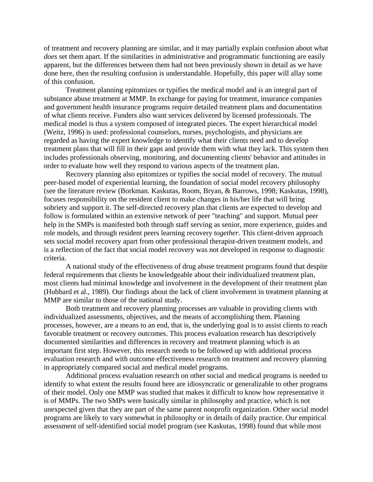of treatment and recovery planning are similar, and it may partially explain confusion about what *does* set them apart. If the similarities in administrative and programmatic functioning are easily apparent, but the differences between them had not been previously shown in detail as we have done here, then the resulting confusion is understandable. Hopefully, this paper will allay some of this confusion.

Treatment planning epitomizes or typifies the medical model and is an integral part of substance abuse treatment at MMP. In exchange for paying for treatment, insurance companies and government health insurance programs require detailed treatment plans and documentation of what clients receive. Funders also want services delivered by licensed professionals. The medical model is thus a system composed of integrated pieces. The expert hierarchical model (Weitz, 1996) is used: professional counselors, nurses, psychologists, and physicians are regarded as having the expert knowledge to identify what their clients need and to develop treatment plans that will fill in their gaps and provide them with what they lack. This system then includes professionals observing, monitoring, and documenting clients' behavior and attitudes in order to evaluate how well they respond to various aspects of the treatment plan.

Recovery planning also epitomizes or typifies the social model of recovery. The mutual peer-based model of experiential learning, the foundation of social model recovery philosophy (see the literature review (Borkman. Kaskutas, Room, Bryan, & Barrows, 1998; Kaskutas, 1998), focuses responsibility on the resident client to make changes in his/her life that will bring sobriety and support it. The self-directed recovery plan that clients are expected to develop and follow is formulated within an extensive network of peer "teaching" and support. Mutual peer help in the SMPs is manifested both through staff serving as senior, more experience, guides and role models, and through resident peers learning recovery *together.* This client-driven approach sets social model recovery apart from other professional therapist-driven treatment models, and is a reflection of the fact that social model recovery was not developed in response to diagnostic criteria.

A national study of the effectiveness of drug abuse treatment programs found that despite federal requirements that clients be knowledgeable about their individualized treatment plan, most clients had minimal knowledge and involvement in the development of their treatment plan (Hubbard et al., 1989). Our findings about the lack of client involvement in treatment planning at MMP are similar to those of the national study.

Both treatment and recovery planning processes are valuable in providing clients with individualized assessments, objectives, and the means of accomplishing them. Planning processes, however, are a means to an end, that is, the underlying goal is to assist clients to reach favorable treatment or recovery outcomes. This process evaluation research has descriptively documented similarities and differences in recovery and treatment planning which is an important first step. However, this research needs to be followed up with additional process evaluation research and with outcome effectiveness research on treatment and recovery planning in appropriately compared social and medical model programs.

Additional process evaluation research on other social and medical programs is needed to identify to what extent the results found here are idiosyncratic or generalizable to other programs of their model. Only one MMP was studied that makes it difficult to know how representative it is of MMPs. The two SMPs were basically similar in philosophy and practice, which is not unexpected given that they are part of the same parent nonprofit organization. Other social model programs are likely to vary somewhat in philosophy or in details of daily practice. Our empirical assessment of self-identified social model program (see Kaskutas, 1998) found that while most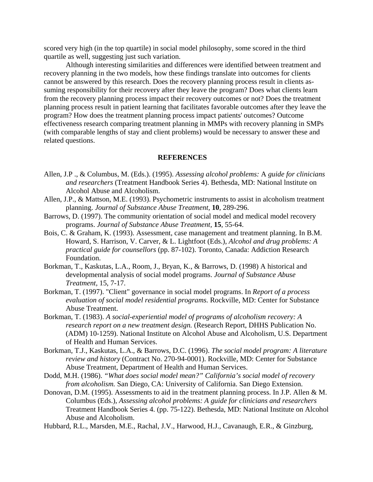scored very high (in the top quartile) in social model philosophy, some scored in the third quartile as well, suggesting just such variation.

Although interesting similarities and differences were identified between treatment and recovery planning in the two models, how these findings translate into outcomes for clients cannot be answered by this research. Does the recovery planning process result in clients assuming responsibility for their recovery after they leave the program? Does what clients learn from the recovery planning process impact their recovery outcomes or not? Does the treatment planning process result in patient learning that facilitates favorable outcomes after they leave the program? How does the treatment planning process impact patients' outcomes? Outcome effectiveness research comparing treatment planning in MMPs with recovery planning in SMPs (with comparable lengths of stay and client problems) would be necessary to answer these and related questions.

## **REFERENCES**

- Allen, J.P ., & Columbus, M. (Eds.). (1995). *Assessing alcohol problems:* A *guide for clinicians and researchers* (Treatment Handbook Series 4). Bethesda, MD: National lnstitute on Alcohol Abuse and Alcoholism.
- Allen, J.P., & Mattson, M.E. (1993). Psychometric instruments to assist in alcoholism treatment planning. *Journal of Substance Abuse Treatment,* **10**, 289-296.
- Barrows, D. (1997). The community orientation of social model and medical model recovery programs. *Journal of Substance Abuse Treatment,* **15**, 55-64.
- Bois, C. & Graham, K. (1993). Assessment, case management and treatment planning. In B.M. Howard, S. Harrison, V. Carver, & L. Lightfoot (Eds.), *Alcohol and drug problems: A practical guide for counsellors* (pp. 87-102). Toronto, Canada: Addiction Research Foundation.
- Borkman, T., Kaskutas, L.A., Room, J., Bryan, K., & Barrows, D. (1998) A historical and developmental analysis of social model programs. *Journal of Substance Abuse Treatment,* 15, 7-17.
- Borkman, T. (1997). "Client" governance in social model programs. In *Report of a process evaluation of social model residential programs.* Rockville, MD: Center for Substance Abuse Treatment.
- Borkman, T. (1983). *A social-experiential model of programs of alcoholism recovery: A research report on a new treatment design.* (Research Report, DHHS Publication No. (ADM) 10-1259). National Institute on Alcohol Abuse and Alcoholism, U.S. Department of Health and Human Services.
- Borkman, T.J., Kaskutas, L.A., & Barrows, D.C. (1996). *The social model program: A literature review and history* (Contract No. 270-94-0001). Rockville, MD: Center for Substance Abuse Treatment, Department of Health and Human Services.
- Dodd, M.H. (1986). *"What does social model mean?" California's social model of recovery from alcoholism.* San Diego, CA: University of California. San Diego Extension.
- Donovan, D.M. (1995). Assessments to aid in the treatment planning process. In J.P. Allen & M. Columbus (Eds.), *Assessing alcohol problems: A guide for clinicians and researchers*  Treatment Handbook Series 4. (pp. 75-122). Bethesda, MD: National Institute on Alcohol Abuse and Alcoholism.
- Hubbard, R.L., Marsden, M.E., Rachal, J.V., Harwood, H.J., Cavanaugh, E.R., & Ginzburg,